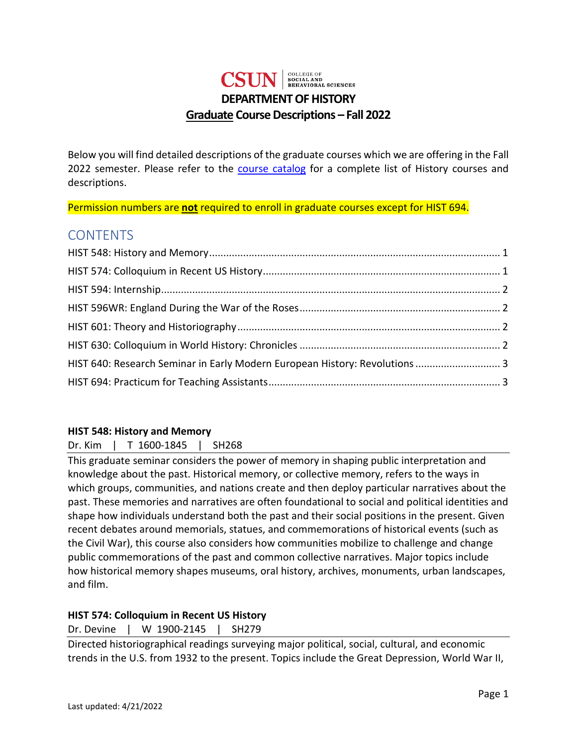## COLLEGE OF<br>SOCIAL AND<br>BEHAVIORAL SCIENCES **CSTIN DEPARTMENT OF HISTORY Graduate Course Descriptions – Fall 2022**

Below you will find detailed descriptions of the graduate courses which we are offering in the Fall 2022 semester. Please refer to the [course catalog](https://catalog.csun.edu/academics/hist/courses/) for a complete list of History courses and descriptions.

Permission numbers are **not** required to enroll in graduate courses except for HIST 694.

## **CONTENTS**

| HIST 640: Research Seminar in Early Modern European History: Revolutions  3 |  |
|-----------------------------------------------------------------------------|--|
|                                                                             |  |

#### <span id="page-0-0"></span>**HIST 548: History and Memory**

Dr. Kim | T 1600-1845 | SH268

This graduate seminar considers the power of memory in shaping public interpretation and knowledge about the past. Historical memory, or collective memory, refers to the ways in which groups, communities, and nations create and then deploy particular narratives about the past. These memories and narratives are often foundational to social and political identities and shape how individuals understand both the past and their social positions in the present. Given recent debates around memorials, statues, and commemorations of historical events (such as the Civil War), this course also considers how communities mobilize to challenge and change public commemorations of the past and common collective narratives. Major topics include how historical memory shapes museums, oral history, archives, monuments, urban landscapes, and film.

## <span id="page-0-1"></span>**HIST 574: Colloquium in Recent US History**

Dr. Devine | W 1900-2145 | SH279

Directed historiographical readings surveying major political, social, cultural, and economic trends in the U.S. from 1932 to the present. Topics include the Great Depression, World War II,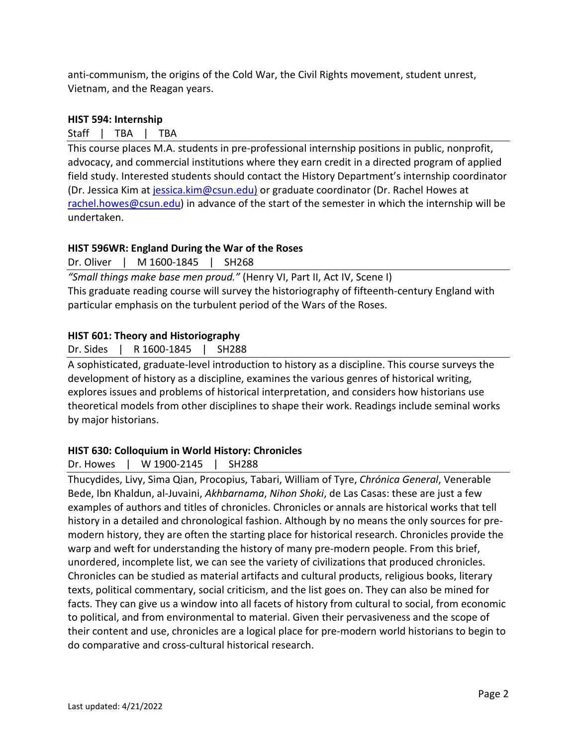anti-communism, the origins of the Cold War, the Civil Rights movement, student unrest, Vietnam, and the Reagan years.

#### <span id="page-1-0"></span>**HIST 594: Internship**

Staff | TBA | TBA

This course places M.A. students in pre-professional internship positions in public, nonprofit, advocacy, and commercial institutions where they earn credit in a directed program of applied field study. Interested students should contact the History Department's internship coordinator (Dr. Jessica Kim at [jessica.kim@csun.edu\)](mailto:jessica.kim@csun.edu) or graduate coordinator (Dr. Rachel Howes at [rachel.howes@csun.edu\)](mailto:rachel.howes@csun.edu) in advance of the start of the semester in which the internship will be undertaken.

## <span id="page-1-1"></span>**HIST 596WR: England During the War of the Roses**

Dr. Oliver | M 1600-1845 | SH268

*"Small things make base men proud."* (Henry VI, Part II, Act IV, Scene I) This graduate reading course will survey the historiography of fifteenth-century England with particular emphasis on the turbulent period of the Wars of the Roses.

#### <span id="page-1-2"></span>**HIST 601: Theory and Historiography**

Dr. Sides | R 1600-1845 | SH288

A sophisticated, graduate-level introduction to history as a discipline. This course surveys the development of history as a discipline, examines the various genres of historical writing, explores issues and problems of historical interpretation, and considers how historians use theoretical models from other disciplines to shape their work. Readings include seminal works by major historians.

#### <span id="page-1-3"></span>**HIST 630: Colloquium in World History: Chronicles**

Dr. Howes | W 1900-2145 | SH288

Thucydides, Livy, Sima Qian, Procopius, Tabari, William of Tyre, *Chrónica General*, Venerable Bede, Ibn Khaldun, al-Juvaini, *Akhbarnama*, *Nihon Shoki*, de Las Casas: these are just a few examples of authors and titles of chronicles. Chronicles or annals are historical works that tell history in a detailed and chronological fashion. Although by no means the only sources for premodern history, they are often the starting place for historical research. Chronicles provide the warp and weft for understanding the history of many pre-modern people. From this brief, unordered, incomplete list, we can see the variety of civilizations that produced chronicles. Chronicles can be studied as material artifacts and cultural products, religious books, literary texts, political commentary, social criticism, and the list goes on. They can also be mined for facts. They can give us a window into all facets of history from cultural to social, from economic to political, and from environmental to material. Given their pervasiveness and the scope of their content and use, chronicles are a logical place for pre-modern world historians to begin to do comparative and cross-cultural historical research.